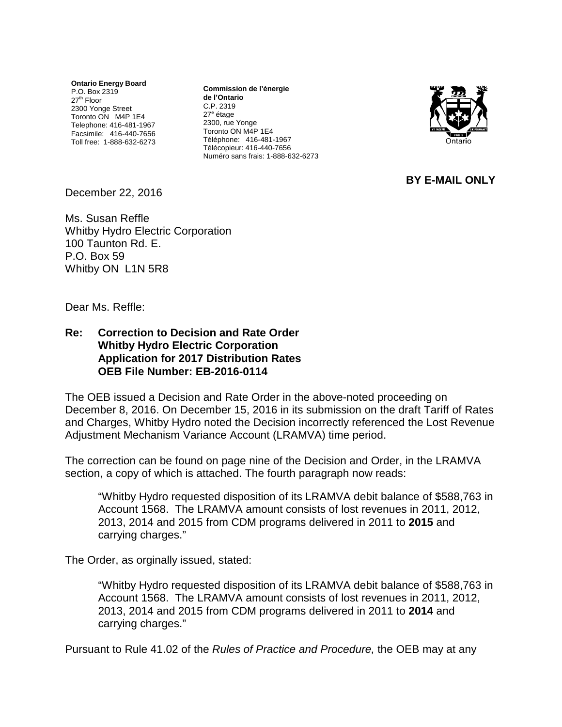**Ontario Energy Board** P.O. Box 2319  $27<sup>th</sup>$  Floor 2300 Yonge Street Toronto ON M4P 1E4 Telephone: 416-481-1967 Facsimile: 416-440-7656 Toll free: 1-888-632-6273

**Commission de l'énergie de l'Ontario** C.P. 2319 27<sup>e</sup> étage 2300, rue Yonge Toronto ON M4P 1E4 Téléphone: 416-481-1967 Télécopieur: 416-440-7656 Numéro sans frais: 1-888-632-6273



**BY E-MAIL ONLY**

December 22, 2016

Ms. Susan Reffle Whitby Hydro Electric Corporation 100 Taunton Rd. E. P.O. Box 59 Whitby ON L1N 5R8

Dear Ms. Reffle:

## **Re: Correction to Decision and Rate Order Whitby Hydro Electric Corporation Application for 2017 Distribution Rates OEB File Number: EB-2016-0114**

The OEB issued a Decision and Rate Order in the above-noted proceeding on December 8, 2016. On December 15, 2016 in its submission on the draft Tariff of Rates and Charges, Whitby Hydro noted the Decision incorrectly referenced the Lost Revenue Adjustment Mechanism Variance Account (LRAMVA) time period.

The correction can be found on page nine of the Decision and Order, in the LRAMVA section, a copy of which is attached. The fourth paragraph now reads:

"Whitby Hydro requested disposition of its LRAMVA debit balance of \$588,763 in Account 1568. The LRAMVA amount consists of lost revenues in 2011, 2012, 2013, 2014 and 2015 from CDM programs delivered in 2011 to **2015** and carrying charges."

The Order, as orginally issued, stated:

"Whitby Hydro requested disposition of its LRAMVA debit balance of \$588,763 in Account 1568. The LRAMVA amount consists of lost revenues in 2011, 2012, 2013, 2014 and 2015 from CDM programs delivered in 2011 to **2014** and carrying charges."

Pursuant to Rule 41.02 of the *Rules of Practice and Procedure,* the OEB may at any